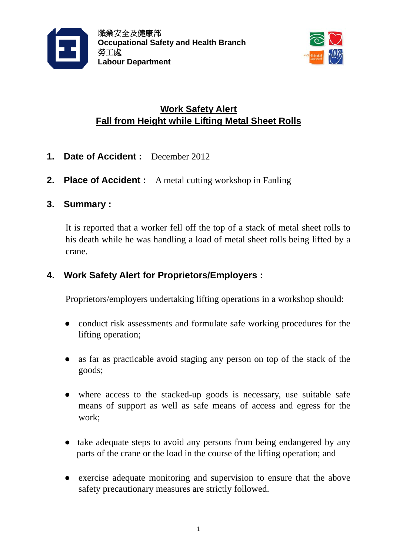



## **Work Safety Alert Fall from Height while Lifting Metal Sheet Rolls**

- **1. Date of Accident :** December 2012
- **2. Place of Accident :** A metal cutting workshop in Fanling
- **3. Summary :**

It is reported that a worker fell off the top of a stack of metal sheet rolls to his death while he was handling a load of metal sheet rolls being lifted by a crane.

## **4. Work Safety Alert for Proprietors/Employers :**

Proprietors/employers undertaking lifting operations in a workshop should:

- **●** conduct risk assessments and formulate safe working procedures for the lifting operation;
- **●** as far as practicable avoid staging any person on top of the stack of the goods;
- **●** where access to the stacked-up goods is necessary, use suitable safe means of support as well as safe means of access and egress for the work;
- **●** take adequate steps to avoid any persons from being endangered by any parts of the crane or the load in the course of the lifting operation; and
- **●** exercise adequate monitoring and supervision to ensure that the above safety precautionary measures are strictly followed.